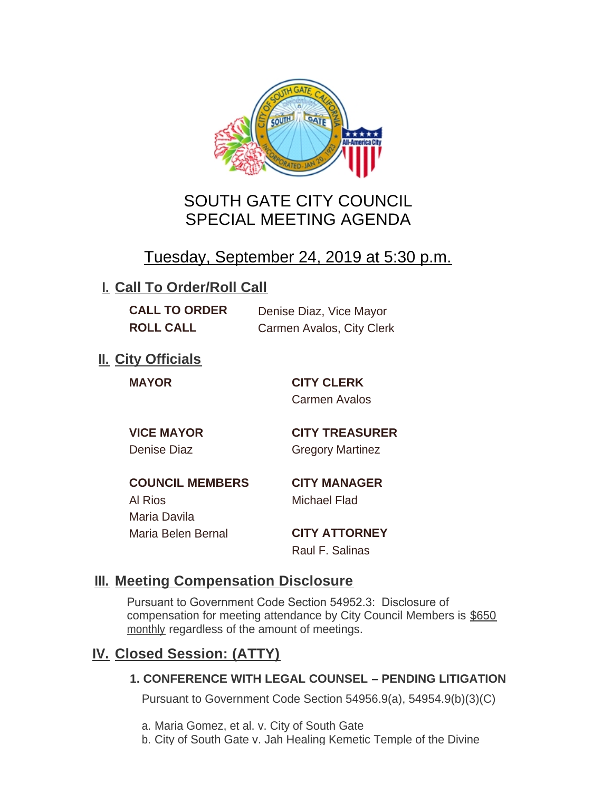

# SOUTH GATE CITY COUNCIL SPECIAL MEETING AGENDA

# Tuesday, September 24, 2019 at 5:30 p.m.

## **I. Call To Order/Roll Call**

| <b>CALL TO ORDER</b> | Denise Diaz, Vice Mayor   |
|----------------------|---------------------------|
| <b>ROLL CALL</b>     | Carmen Avalos, City Clerk |

# **II.** City Officials

**MAYOR CITY CLERK** Carmen Avalos

**VICE MAYOR CITY TREASURER** Denise Diaz Gregory Martinez

**COUNCIL MEMBERS CITY MANAGER** Al Rios Michael Flad Maria Davila Maria Belen Bernal **CITY ATTORNEY**

Raul F. Salinas

### **Meeting Compensation Disclosure III.**

Pursuant to Government Code Section 54952.3: Disclosure of compensation for meeting attendance by City Council Members is \$650 monthly regardless of the amount of meetings.

## **Closed Session: (ATTY) IV.**

#### **1. CONFERENCE WITH LEGAL COUNSEL – PENDING LITIGATION**

Pursuant to Government Code Section 54956.9(a), 54954.9(b)(3)(C)

- a. Maria Gomez, et al. v. City of South Gate
- b. City of South Gate v. Jah Healing Kemetic Temple of the Divine